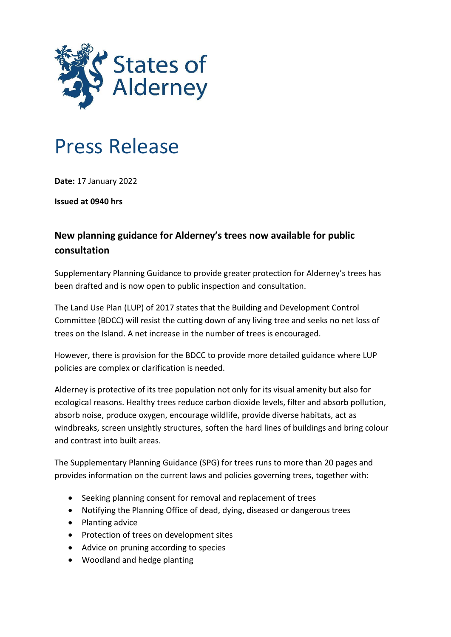

## Press Release

**Date:** 17 January 2022

**Issued at 0940 hrs**

## **New planning guidance for Alderney's trees now available for public consultation**

Supplementary Planning Guidance to provide greater protection for Alderney's trees has been drafted and is now open to public inspection and consultation.

The Land Use Plan (LUP) of 2017 states that the Building and Development Control Committee (BDCC) will resist the cutting down of any living tree and seeks no net loss of trees on the Island. A net increase in the number of trees is encouraged.

However, there is provision for the BDCC to provide more detailed guidance where LUP policies are complex or clarification is needed.

Alderney is protective of its tree population not only for its visual amenity but also for ecological reasons. Healthy trees reduce carbon dioxide levels, filter and absorb pollution, absorb noise, produce oxygen, encourage wildlife, provide diverse habitats, act as windbreaks, screen unsightly structures, soften the hard lines of buildings and bring colour and contrast into built areas.

The Supplementary Planning Guidance (SPG) for trees runs to more than 20 pages and provides information on the current laws and policies governing trees, together with:

- Seeking planning consent for removal and replacement of trees
- Notifying the Planning Office of dead, dying, diseased or dangerous trees
- Planting advice
- Protection of trees on development sites
- Advice on pruning according to species
- Woodland and hedge planting